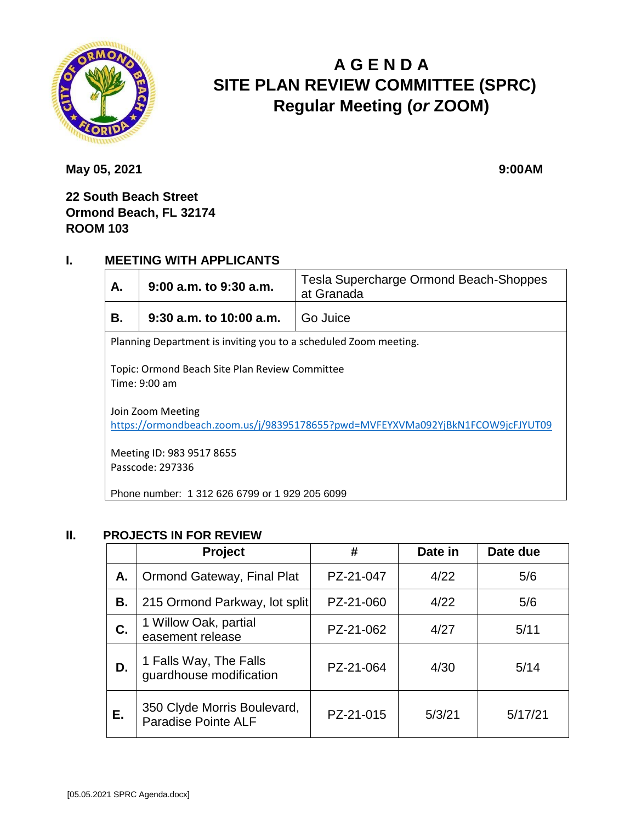

# **A G E N D A SITE PLAN REVIEW COMMITTEE (SPRC) Regular Meeting (***or* **ZOOM)**

**May 05, 2021** 9:00AM

**22 South Beach Street Ormond Beach, FL 32174 ROOM 103**

#### **I. MEETING WITH APPLICANTS**

| А.                                                                                                  | $9:00$ a.m. to $9:30$ a.m. | Tesla Supercharge Ormond Beach-Shoppes<br>at Granada |  |  |  |
|-----------------------------------------------------------------------------------------------------|----------------------------|------------------------------------------------------|--|--|--|
| В.                                                                                                  | $9:30$ a.m. to 10:00 a.m.  | Go Juice                                             |  |  |  |
| Planning Department is inviting you to a scheduled Zoom meeting.                                    |                            |                                                      |  |  |  |
| Topic: Ormond Beach Site Plan Review Committee<br>Time: $9:00$ am                                   |                            |                                                      |  |  |  |
| Join Zoom Meeting<br>https://ormondbeach.zoom.us/j/98395178655?pwd=MVFEYXVMa092YjBkN1FCOW9jcFJYUT09 |                            |                                                      |  |  |  |
| Meeting ID: 983 9517 8655<br>Passcode: 297336                                                       |                            |                                                      |  |  |  |
| Phone number: 1 312 626 6799 or 1 929 205 6099                                                      |                            |                                                      |  |  |  |

#### **II. PROJECTS IN FOR REVIEW**

|    | <b>Project</b>                                            | #         | Date in | Date due |
|----|-----------------------------------------------------------|-----------|---------|----------|
| А. | <b>Ormond Gateway, Final Plat</b>                         | PZ-21-047 | 4/22    | 5/6      |
| В. | 215 Ormond Parkway, lot split                             | PZ-21-060 | 4/22    | 5/6      |
| С. | 1 Willow Oak, partial<br>easement release                 | PZ-21-062 | 4/27    | 5/11     |
| D. | 1 Falls Way, The Falls<br>guardhouse modification         | PZ-21-064 | 4/30    | 5/14     |
| Е. | 350 Clyde Morris Boulevard,<br><b>Paradise Pointe ALF</b> | PZ-21-015 | 5/3/21  | 5/17/21  |